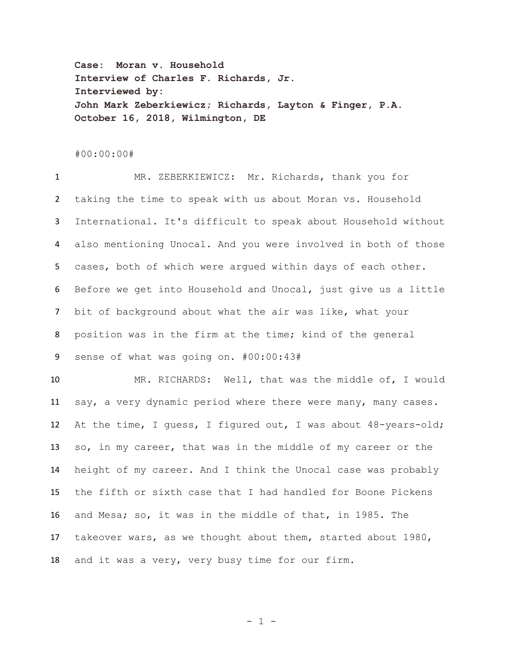**Case: Moran v. Household Interview of Charles F. Richards, Jr. Interviewed by: John Mark Zeberkiewicz; Richards, Layton & Finger, P.A. October 16, 2018, Wilmington, DE**

## #00:00:00#

 MR. ZEBERKIEWICZ: Mr. Richards, thank you for taking the time to speak with us about Moran vs. Household International. It's difficult to speak about Household without also mentioning Unocal. And you were involved in both of those cases, both of which were argued within days of each other. Before we get into Household and Unocal, just give us a little bit of background about what the air was like, what your position was in the firm at the time; kind of the general sense of what was going on. #00:00:43# MR. RICHARDS: Well, that was the middle of, I would say, a very dynamic period where there were many, many cases.

 At the time, I guess, I figured out, I was about 48-years-old; so, in my career, that was in the middle of my career or the height of my career. And I think the Unocal case was probably the fifth or sixth case that I had handled for Boone Pickens and Mesa; so, it was in the middle of that, in 1985. The takeover wars, as we thought about them, started about 1980, and it was a very, very busy time for our firm.

- 1 -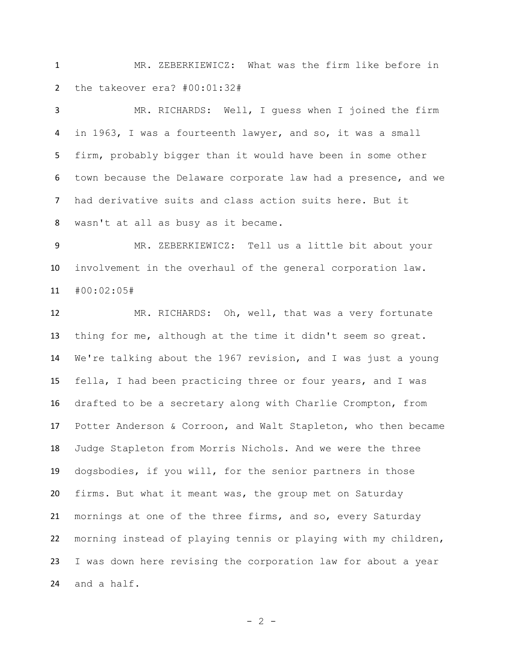MR. ZEBERKIEWICZ: What was the firm like before in the takeover era? #00:01:32#

 MR. RICHARDS: Well, I guess when I joined the firm in 1963, I was a fourteenth lawyer, and so, it was a small firm, probably bigger than it would have been in some other town because the Delaware corporate law had a presence, and we had derivative suits and class action suits here. But it wasn't at all as busy as it became.

 MR. ZEBERKIEWICZ: Tell us a little bit about your involvement in the overhaul of the general corporation law. #00:02:05#

 MR. RICHARDS: Oh, well, that was a very fortunate thing for me, although at the time it didn't seem so great. We're talking about the 1967 revision, and I was just a young fella, I had been practicing three or four years, and I was drafted to be a secretary along with Charlie Crompton, from Potter Anderson & Corroon, and Walt Stapleton, who then became Judge Stapleton from Morris Nichols. And we were the three dogsbodies, if you will, for the senior partners in those firms. But what it meant was, the group met on Saturday mornings at one of the three firms, and so, every Saturday morning instead of playing tennis or playing with my children, I was down here revising the corporation law for about a year and a half.

 $- 2 -$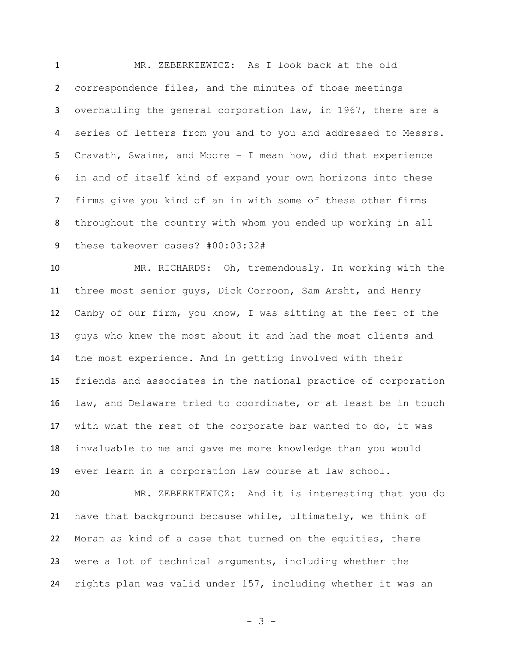MR. ZEBERKIEWICZ: As I look back at the old correspondence files, and the minutes of those meetings overhauling the general corporation law, in 1967, there are a series of letters from you and to you and addressed to Messrs. Cravath, Swaine, and Moore – I mean how, did that experience in and of itself kind of expand your own horizons into these firms give you kind of an in with some of these other firms throughout the country with whom you ended up working in all these takeover cases? #00:03:32#

 MR. RICHARDS: Oh, tremendously. In working with the three most senior guys, Dick Corroon, Sam Arsht, and Henry Canby of our firm, you know, I was sitting at the feet of the guys who knew the most about it and had the most clients and the most experience. And in getting involved with their friends and associates in the national practice of corporation law, and Delaware tried to coordinate, or at least be in touch with what the rest of the corporate bar wanted to do, it was invaluable to me and gave me more knowledge than you would ever learn in a corporation law course at law school.

 MR. ZEBERKIEWICZ: And it is interesting that you do have that background because while, ultimately, we think of Moran as kind of a case that turned on the equities, there were a lot of technical arguments, including whether the rights plan was valid under 157, including whether it was an

- 3 -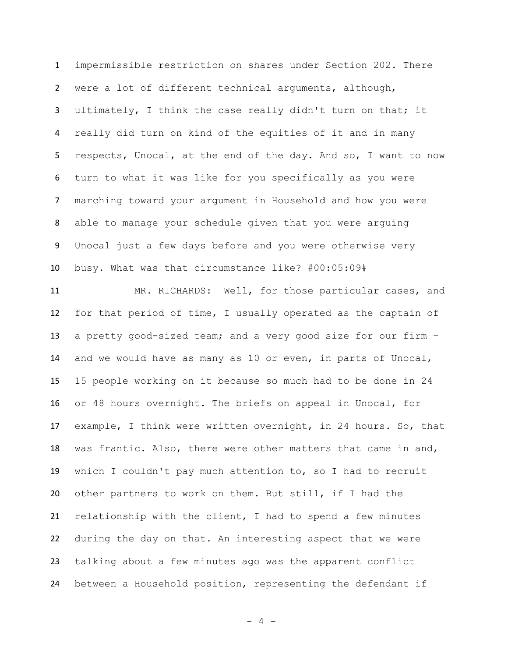impermissible restriction on shares under Section 202. There were a lot of different technical arguments, although, ultimately, I think the case really didn't turn on that; it really did turn on kind of the equities of it and in many respects, Unocal, at the end of the day. And so, I want to now turn to what it was like for you specifically as you were marching toward your argument in Household and how you were able to manage your schedule given that you were arguing Unocal just a few days before and you were otherwise very busy. What was that circumstance like? #00:05:09#

 MR. RICHARDS: Well, for those particular cases, and for that period of time, I usually operated as the captain of a pretty good-sized team; and a very good size for our firm – and we would have as many as 10 or even, in parts of Unocal, 15 people working on it because so much had to be done in 24 or 48 hours overnight. The briefs on appeal in Unocal, for example, I think were written overnight, in 24 hours. So, that was frantic. Also, there were other matters that came in and, which I couldn't pay much attention to, so I had to recruit other partners to work on them. But still, if I had the relationship with the client, I had to spend a few minutes during the day on that. An interesting aspect that we were talking about a few minutes ago was the apparent conflict between a Household position, representing the defendant if

- 4 -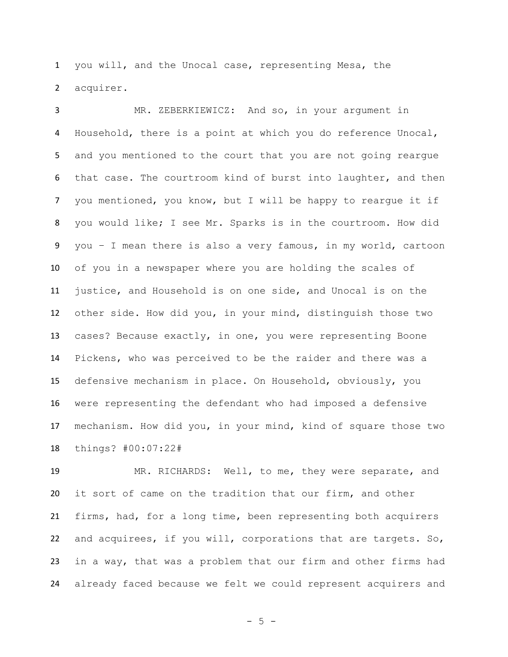you will, and the Unocal case, representing Mesa, the acquirer.

 MR. ZEBERKIEWICZ: And so, in your argument in Household, there is a point at which you do reference Unocal, and you mentioned to the court that you are not going reargue that case. The courtroom kind of burst into laughter, and then you mentioned, you know, but I will be happy to reargue it if you would like; I see Mr. Sparks is in the courtroom. How did you – I mean there is also a very famous, in my world, cartoon of you in a newspaper where you are holding the scales of justice, and Household is on one side, and Unocal is on the other side. How did you, in your mind, distinguish those two cases? Because exactly, in one, you were representing Boone Pickens, who was perceived to be the raider and there was a defensive mechanism in place. On Household, obviously, you were representing the defendant who had imposed a defensive mechanism. How did you, in your mind, kind of square those two things? #00:07:22#

 MR. RICHARDS: Well, to me, they were separate, and it sort of came on the tradition that our firm, and other firms, had, for a long time, been representing both acquirers and acquirees, if you will, corporations that are targets. So, in a way, that was a problem that our firm and other firms had already faced because we felt we could represent acquirers and

 $- 5 -$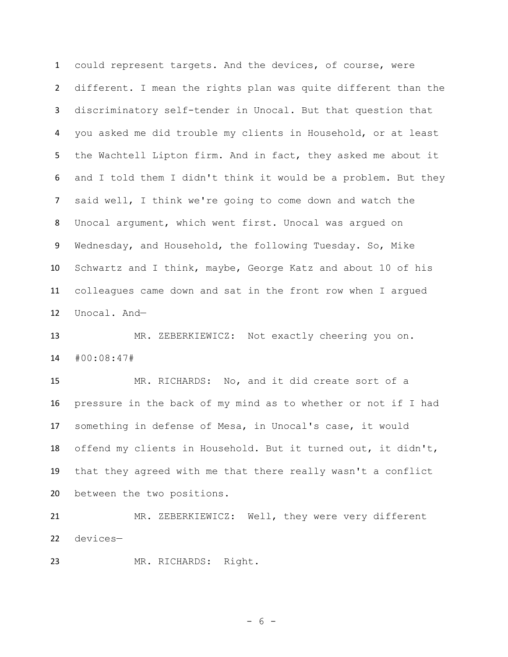could represent targets. And the devices, of course, were different. I mean the rights plan was quite different than the discriminatory self-tender in Unocal. But that question that you asked me did trouble my clients in Household, or at least the Wachtell Lipton firm. And in fact, they asked me about it and I told them I didn't think it would be a problem. But they said well, I think we're going to come down and watch the Unocal argument, which went first. Unocal was argued on Wednesday, and Household, the following Tuesday. So, Mike Schwartz and I think, maybe, George Katz and about 10 of his colleagues came down and sat in the front row when I argued Unocal. And—

 MR. ZEBERKIEWICZ: Not exactly cheering you on. #00:08:47#

 MR. RICHARDS: No, and it did create sort of a pressure in the back of my mind as to whether or not if I had something in defense of Mesa, in Unocal's case, it would offend my clients in Household. But it turned out, it didn't, that they agreed with me that there really wasn't a conflict between the two positions.

 MR. ZEBERKIEWICZ: Well, they were very different devices—

MR. RICHARDS: Right.

- 6 -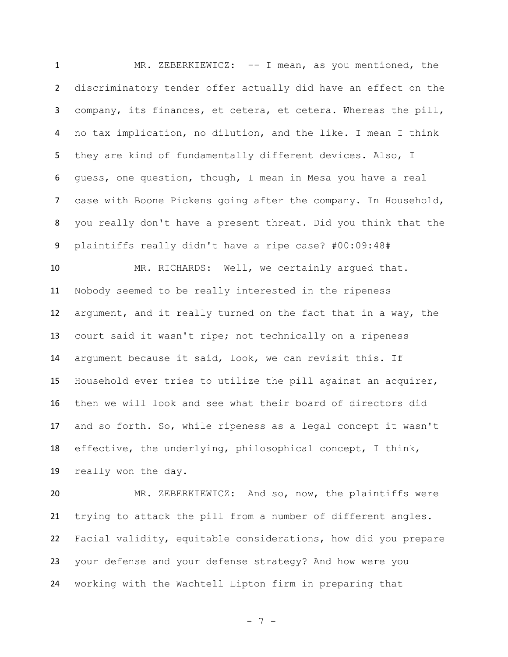MR. ZEBERKIEWICZ: -- I mean, as you mentioned, the discriminatory tender offer actually did have an effect on the company, its finances, et cetera, et cetera. Whereas the pill, no tax implication, no dilution, and the like. I mean I think they are kind of fundamentally different devices. Also, I guess, one question, though, I mean in Mesa you have a real case with Boone Pickens going after the company. In Household, you really don't have a present threat. Did you think that the plaintiffs really didn't have a ripe case? #00:09:48#

10 MR. RICHARDS: Well, we certainly argued that. Nobody seemed to be really interested in the ripeness argument, and it really turned on the fact that in a way, the court said it wasn't ripe; not technically on a ripeness argument because it said, look, we can revisit this. If Household ever tries to utilize the pill against an acquirer, then we will look and see what their board of directors did and so forth. So, while ripeness as a legal concept it wasn't effective, the underlying, philosophical concept, I think, really won the day.

 MR. ZEBERKIEWICZ: And so, now, the plaintiffs were trying to attack the pill from a number of different angles. Facial validity, equitable considerations, how did you prepare your defense and your defense strategy? And how were you working with the Wachtell Lipton firm in preparing that

- 7 -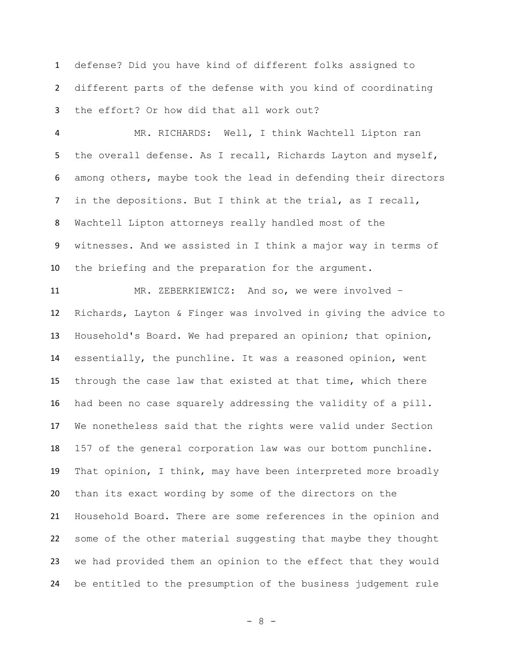defense? Did you have kind of different folks assigned to different parts of the defense with you kind of coordinating the effort? Or how did that all work out?

 MR. RICHARDS: Well, I think Wachtell Lipton ran 5 the overall defense. As I recall, Richards Layton and myself, among others, maybe took the lead in defending their directors in the depositions. But I think at the trial, as I recall, Wachtell Lipton attorneys really handled most of the witnesses. And we assisted in I think a major way in terms of the briefing and the preparation for the argument.

 MR. ZEBERKIEWICZ: And so, we were involved – Richards, Layton & Finger was involved in giving the advice to Household's Board. We had prepared an opinion; that opinion, essentially, the punchline. It was a reasoned opinion, went through the case law that existed at that time, which there had been no case squarely addressing the validity of a pill. We nonetheless said that the rights were valid under Section 157 of the general corporation law was our bottom punchline. That opinion, I think, may have been interpreted more broadly than its exact wording by some of the directors on the Household Board. There are some references in the opinion and some of the other material suggesting that maybe they thought we had provided them an opinion to the effect that they would be entitled to the presumption of the business judgement rule

- 8 -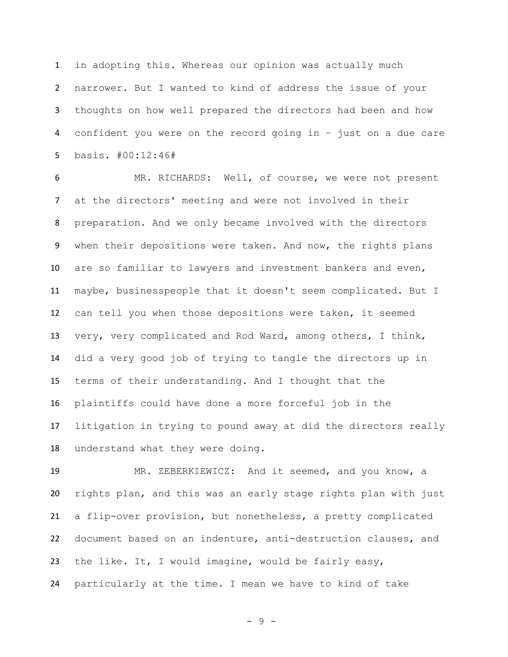in adopting this. Whereas our opinion was actually much narrower. But I wanted to kind of address the issue of your thoughts on how well prepared the directors had been and how confident you were on the record going in – just on a due care basis. #00:12:46#

 MR. RICHARDS: Well, of course, we were not present at the directors' meeting and were not involved in their preparation. And we only became involved with the directors when their depositions were taken. And now, the rights plans are so familiar to lawyers and investment bankers and even, maybe, businesspeople that it doesn't seem complicated. But I can tell you when those depositions were taken, it seemed very, very complicated and Rod Ward, among others, I think, did a very good job of trying to tangle the directors up in terms of their understanding. And I thought that the plaintiffs could have done a more forceful job in the litigation in trying to pound away at did the directors really understand what they were doing.

 MR. ZEBERKIEWICZ: And it seemed, and you know, a rights plan, and this was an early stage rights plan with just a flip-over provision, but nonetheless, a pretty complicated document based on an indenture, anti-destruction clauses, and the like. It, I would imagine, would be fairly easy, particularly at the time. I mean we have to kind of take

- 9 -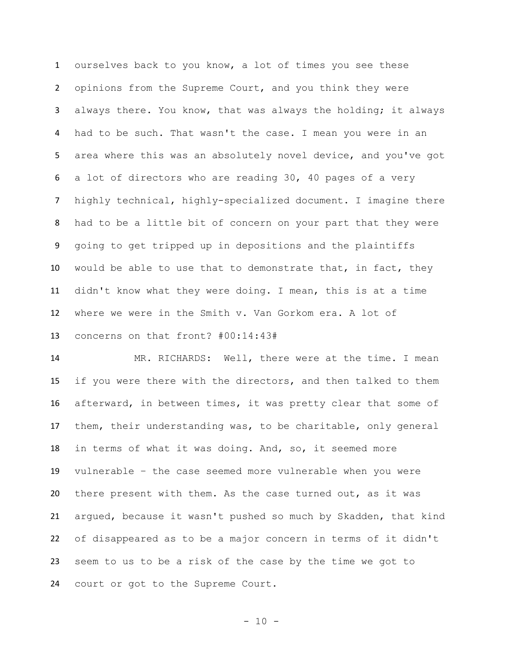ourselves back to you know, a lot of times you see these opinions from the Supreme Court, and you think they were always there. You know, that was always the holding; it always had to be such. That wasn't the case. I mean you were in an area where this was an absolutely novel device, and you've got a lot of directors who are reading 30, 40 pages of a very highly technical, highly-specialized document. I imagine there had to be a little bit of concern on your part that they were going to get tripped up in depositions and the plaintiffs would be able to use that to demonstrate that, in fact, they didn't know what they were doing. I mean, this is at a time where we were in the Smith v. Van Gorkom era. A lot of concerns on that front? #00:14:43#

 MR. RICHARDS: Well, there were at the time. I mean if you were there with the directors, and then talked to them afterward, in between times, it was pretty clear that some of them, their understanding was, to be charitable, only general in terms of what it was doing. And, so, it seemed more vulnerable – the case seemed more vulnerable when you were there present with them. As the case turned out, as it was argued, because it wasn't pushed so much by Skadden, that kind of disappeared as to be a major concern in terms of it didn't seem to us to be a risk of the case by the time we got to court or got to the Supreme Court.

- 10 -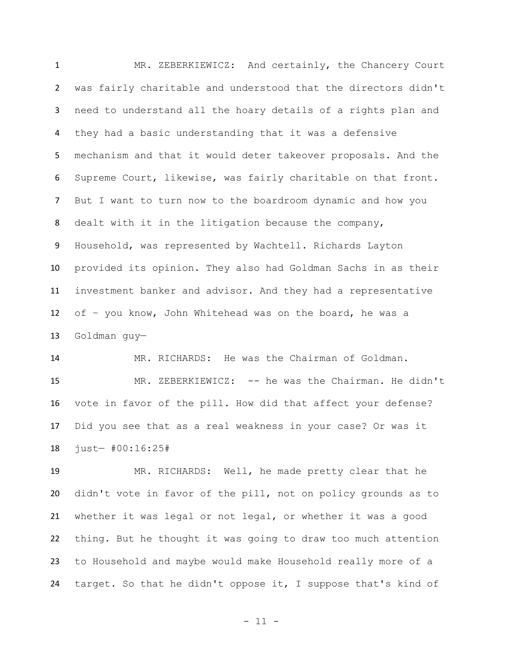MR. ZEBERKIEWICZ: And certainly, the Chancery Court was fairly charitable and understood that the directors didn't need to understand all the hoary details of a rights plan and they had a basic understanding that it was a defensive mechanism and that it would deter takeover proposals. And the Supreme Court, likewise, was fairly charitable on that front. But I want to turn now to the boardroom dynamic and how you dealt with it in the litigation because the company, Household, was represented by Wachtell. Richards Layton provided its opinion. They also had Goldman Sachs in as their investment banker and advisor. And they had a representative of – you know, John Whitehead was on the board, he was a Goldman guy—

 MR. RICHARDS: He was the Chairman of Goldman. MR. ZEBERKIEWICZ: -- he was the Chairman. He didn't vote in favor of the pill. How did that affect your defense? Did you see that as a real weakness in your case? Or was it just— #00:16:25#

 MR. RICHARDS: Well, he made pretty clear that he didn't vote in favor of the pill, not on policy grounds as to whether it was legal or not legal, or whether it was a good thing. But he thought it was going to draw too much attention to Household and maybe would make Household really more of a target. So that he didn't oppose it, I suppose that's kind of

- 11 -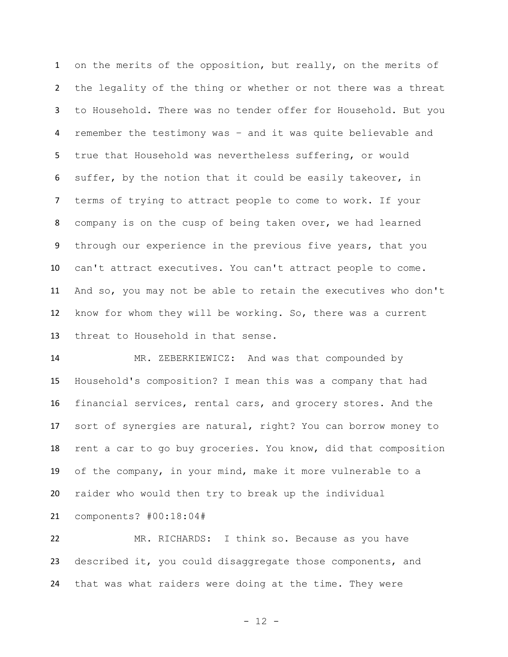on the merits of the opposition, but really, on the merits of the legality of the thing or whether or not there was a threat to Household. There was no tender offer for Household. But you remember the testimony was – and it was quite believable and true that Household was nevertheless suffering, or would suffer, by the notion that it could be easily takeover, in terms of trying to attract people to come to work. If your company is on the cusp of being taken over, we had learned through our experience in the previous five years, that you can't attract executives. You can't attract people to come. And so, you may not be able to retain the executives who don't know for whom they will be working. So, there was a current threat to Household in that sense.

 MR. ZEBERKIEWICZ: And was that compounded by Household's composition? I mean this was a company that had financial services, rental cars, and grocery stores. And the sort of synergies are natural, right? You can borrow money to rent a car to go buy groceries. You know, did that composition of the company, in your mind, make it more vulnerable to a raider who would then try to break up the individual components? #00:18:04#

 MR. RICHARDS: I think so. Because as you have described it, you could disaggregate those components, and that was what raiders were doing at the time. They were

- 12 -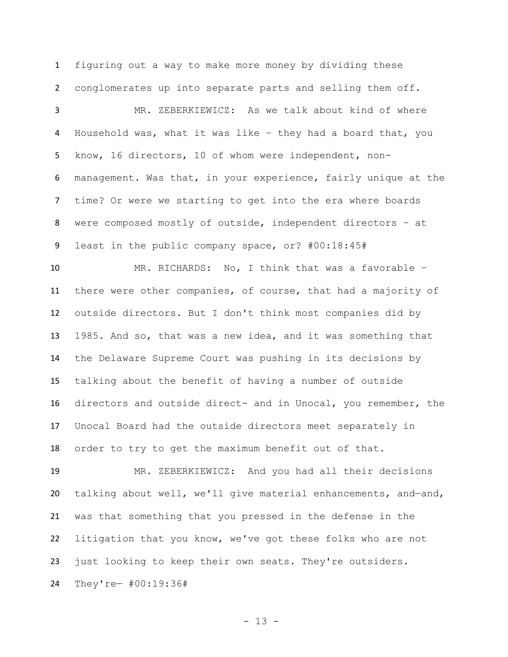figuring out a way to make more money by dividing these conglomerates up into separate parts and selling them off.

 MR. ZEBERKIEWICZ: As we talk about kind of where Household was, what it was like – they had a board that, you know, 16 directors, 10 of whom were independent, non- management. Was that, in your experience, fairly unique at the time? Or were we starting to get into the era where boards were composed mostly of outside, independent directors – at least in the public company space, or? #00:18:45#

 MR. RICHARDS: No, I think that was a favorable – there were other companies, of course, that had a majority of outside directors. But I don't think most companies did by 1985. And so, that was a new idea, and it was something that the Delaware Supreme Court was pushing in its decisions by talking about the benefit of having a number of outside directors and outside direct- and in Unocal, you remember, the Unocal Board had the outside directors meet separately in order to try to get the maximum benefit out of that.

 MR. ZEBERKIEWICZ: And you had all their decisions talking about well, we'll give material enhancements, and—and, was that something that you pressed in the defense in the litigation that you know, we've got these folks who are not just looking to keep their own seats. They're outsiders. They're— #00:19:36#

- 13 -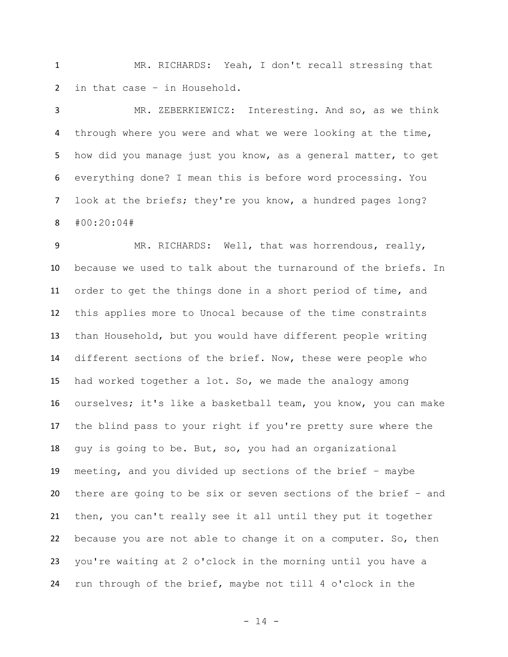MR. RICHARDS: Yeah, I don't recall stressing that in that case – in Household.

 MR. ZEBERKIEWICZ: Interesting. And so, as we think through where you were and what we were looking at the time, how did you manage just you know, as a general matter, to get everything done? I mean this is before word processing. You 7 look at the briefs; they're you know, a hundred pages long? #00:20:04#

9 MR. RICHARDS: Well, that was horrendous, really, because we used to talk about the turnaround of the briefs. In order to get the things done in a short period of time, and this applies more to Unocal because of the time constraints than Household, but you would have different people writing different sections of the brief. Now, these were people who had worked together a lot. So, we made the analogy among ourselves; it's like a basketball team, you know, you can make the blind pass to your right if you're pretty sure where the guy is going to be. But, so, you had an organizational meeting, and you divided up sections of the brief – maybe there are going to be six or seven sections of the brief – and then, you can't really see it all until they put it together because you are not able to change it on a computer. So, then you're waiting at 2 o'clock in the morning until you have a run through of the brief, maybe not till 4 o'clock in the

- 14 -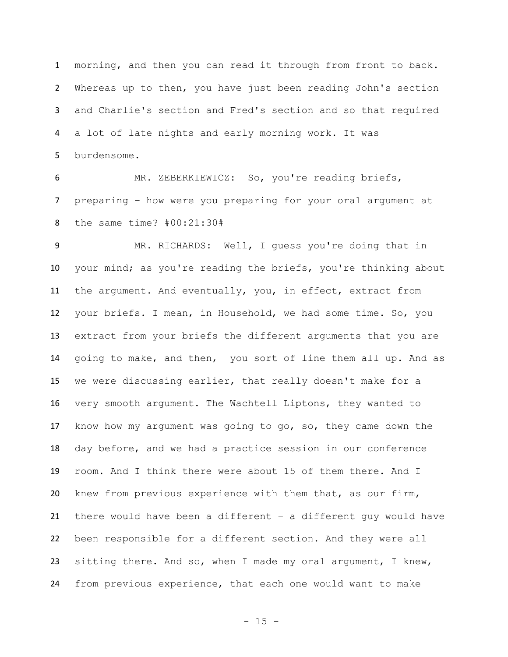morning, and then you can read it through from front to back. Whereas up to then, you have just been reading John's section and Charlie's section and Fred's section and so that required a lot of late nights and early morning work. It was burdensome.

 MR. ZEBERKIEWICZ: So, you're reading briefs, preparing – how were you preparing for your oral argument at the same time? #00:21:30#

 MR. RICHARDS: Well, I guess you're doing that in your mind; as you're reading the briefs, you're thinking about the argument. And eventually, you, in effect, extract from your briefs. I mean, in Household, we had some time. So, you extract from your briefs the different arguments that you are going to make, and then, you sort of line them all up. And as we were discussing earlier, that really doesn't make for a very smooth argument. The Wachtell Liptons, they wanted to know how my argument was going to go, so, they came down the day before, and we had a practice session in our conference room. And I think there were about 15 of them there. And I knew from previous experience with them that, as our firm, there would have been a different – a different guy would have been responsible for a different section. And they were all sitting there. And so, when I made my oral argument, I knew, from previous experience, that each one would want to make

 $- 15 -$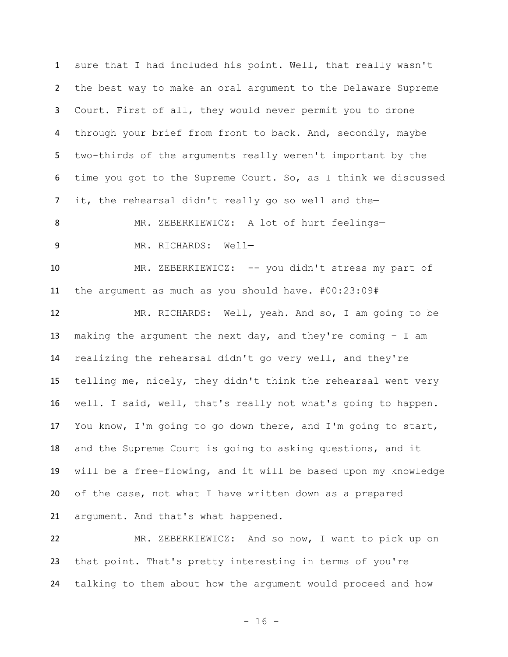sure that I had included his point. Well, that really wasn't the best way to make an oral argument to the Delaware Supreme Court. First of all, they would never permit you to drone 4 through your brief from front to back. And, secondly, maybe two-thirds of the arguments really weren't important by the time you got to the Supreme Court. So, as I think we discussed it, the rehearsal didn't really go so well and the—

MR. ZEBERKIEWICZ: A lot of hurt feelings—

9 MR. RICHARDS: Well-

 MR. ZEBERKIEWICZ: -- you didn't stress my part of the argument as much as you should have. #00:23:09#

 MR. RICHARDS: Well, yeah. And so, I am going to be 13 making the argument the next day, and they're coming  $-$  I am realizing the rehearsal didn't go very well, and they're telling me, nicely, they didn't think the rehearsal went very well. I said, well, that's really not what's going to happen. You know, I'm going to go down there, and I'm going to start, and the Supreme Court is going to asking questions, and it will be a free-flowing, and it will be based upon my knowledge of the case, not what I have written down as a prepared argument. And that's what happened.

 MR. ZEBERKIEWICZ: And so now, I want to pick up on that point. That's pretty interesting in terms of you're talking to them about how the argument would proceed and how

- 16 -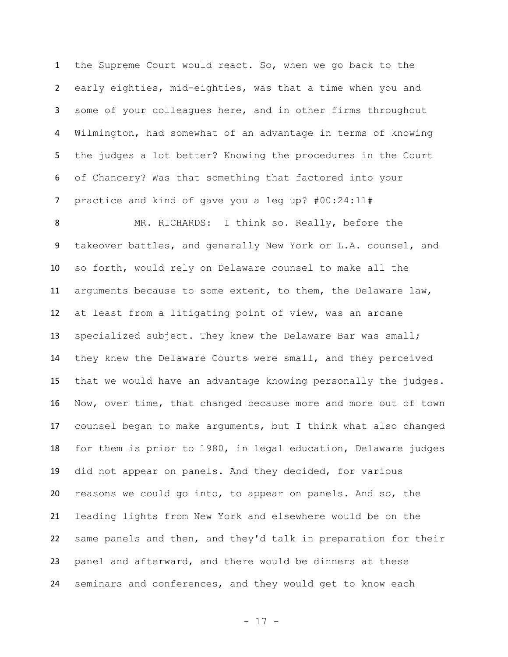the Supreme Court would react. So, when we go back to the early eighties, mid-eighties, was that a time when you and some of your colleagues here, and in other firms throughout Wilmington, had somewhat of an advantage in terms of knowing the judges a lot better? Knowing the procedures in the Court of Chancery? Was that something that factored into your practice and kind of gave you a leg up? #00:24:11#

 MR. RICHARDS: I think so. Really, before the takeover battles, and generally New York or L.A. counsel, and so forth, would rely on Delaware counsel to make all the arguments because to some extent, to them, the Delaware law, at least from a litigating point of view, was an arcane specialized subject. They knew the Delaware Bar was small; they knew the Delaware Courts were small, and they perceived that we would have an advantage knowing personally the judges. Now, over time, that changed because more and more out of town counsel began to make arguments, but I think what also changed for them is prior to 1980, in legal education, Delaware judges did not appear on panels. And they decided, for various reasons we could go into, to appear on panels. And so, the leading lights from New York and elsewhere would be on the same panels and then, and they'd talk in preparation for their panel and afterward, and there would be dinners at these seminars and conferences, and they would get to know each

- 17 -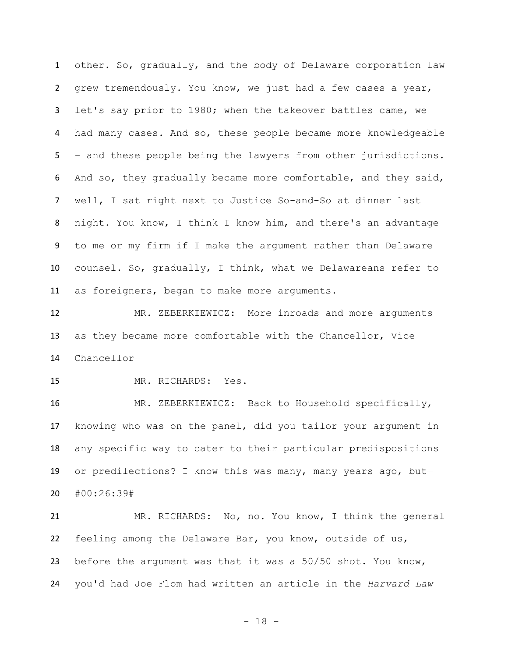other. So, gradually, and the body of Delaware corporation law grew tremendously. You know, we just had a few cases a year, let's say prior to 1980; when the takeover battles came, we had many cases. And so, these people became more knowledgeable – and these people being the lawyers from other jurisdictions. And so, they gradually became more comfortable, and they said, well, I sat right next to Justice So-and-So at dinner last night. You know, I think I know him, and there's an advantage to me or my firm if I make the argument rather than Delaware counsel. So, gradually, I think, what we Delawareans refer to as foreigners, began to make more arguments.

 MR. ZEBERKIEWICZ: More inroads and more arguments as they became more comfortable with the Chancellor, Vice Chancellor—

MR. RICHARDS: Yes.

 MR. ZEBERKIEWICZ: Back to Household specifically, knowing who was on the panel, did you tailor your argument in any specific way to cater to their particular predispositions or predilections? I know this was many, many years ago, but— #00:26:39#

 MR. RICHARDS: No, no. You know, I think the general feeling among the Delaware Bar, you know, outside of us, before the argument was that it was a 50/50 shot. You know, you'd had Joe Flom had written an article in the *Harvard Law* 

- 18 -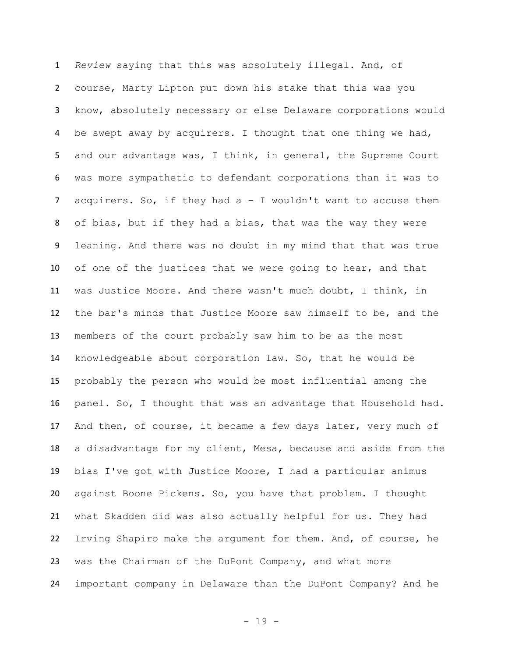*Review* saying that this was absolutely illegal. And, of course, Marty Lipton put down his stake that this was you know, absolutely necessary or else Delaware corporations would be swept away by acquirers. I thought that one thing we had, 5 and our advantage was, I think, in general, the Supreme Court was more sympathetic to defendant corporations than it was to acquirers. So, if they had a – I wouldn't want to accuse them of bias, but if they had a bias, that was the way they were leaning. And there was no doubt in my mind that that was true of one of the justices that we were going to hear, and that was Justice Moore. And there wasn't much doubt, I think, in the bar's minds that Justice Moore saw himself to be, and the members of the court probably saw him to be as the most knowledgeable about corporation law. So, that he would be probably the person who would be most influential among the panel. So, I thought that was an advantage that Household had. And then, of course, it became a few days later, very much of a disadvantage for my client, Mesa, because and aside from the bias I've got with Justice Moore, I had a particular animus against Boone Pickens. So, you have that problem. I thought what Skadden did was also actually helpful for us. They had Irving Shapiro make the argument for them. And, of course, he was the Chairman of the DuPont Company, and what more important company in Delaware than the DuPont Company? And he

- 19 -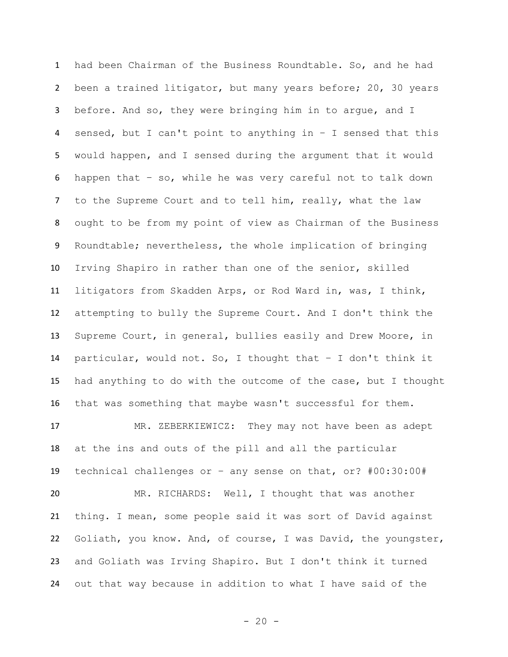had been Chairman of the Business Roundtable. So, and he had been a trained litigator, but many years before; 20, 30 years before. And so, they were bringing him in to argue, and I sensed, but I can't point to anything in – I sensed that this would happen, and I sensed during the argument that it would happen that – so, while he was very careful not to talk down to the Supreme Court and to tell him, really, what the law ought to be from my point of view as Chairman of the Business Roundtable; nevertheless, the whole implication of bringing Irving Shapiro in rather than one of the senior, skilled litigators from Skadden Arps, or Rod Ward in, was, I think, attempting to bully the Supreme Court. And I don't think the Supreme Court, in general, bullies easily and Drew Moore, in particular, would not. So, I thought that – I don't think it had anything to do with the outcome of the case, but I thought that was something that maybe wasn't successful for them. MR. ZEBERKIEWICZ: They may not have been as adept at the ins and outs of the pill and all the particular technical challenges or – any sense on that, or? #00:30:00# MR. RICHARDS: Well, I thought that was another thing. I mean, some people said it was sort of David against Goliath, you know. And, of course, I was David, the youngster, and Goliath was Irving Shapiro. But I don't think it turned out that way because in addition to what I have said of the

 $- 20 -$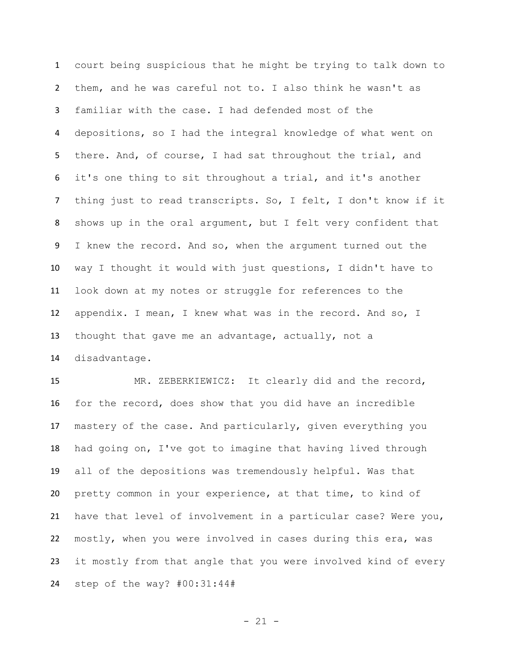court being suspicious that he might be trying to talk down to them, and he was careful not to. I also think he wasn't as familiar with the case. I had defended most of the depositions, so I had the integral knowledge of what went on there. And, of course, I had sat throughout the trial, and it's one thing to sit throughout a trial, and it's another thing just to read transcripts. So, I felt, I don't know if it shows up in the oral argument, but I felt very confident that 9 I knew the record. And so, when the argument turned out the way I thought it would with just questions, I didn't have to look down at my notes or struggle for references to the appendix. I mean, I knew what was in the record. And so, I thought that gave me an advantage, actually, not a disadvantage.

 MR. ZEBERKIEWICZ: It clearly did and the record, for the record, does show that you did have an incredible mastery of the case. And particularly, given everything you had going on, I've got to imagine that having lived through all of the depositions was tremendously helpful. Was that pretty common in your experience, at that time, to kind of have that level of involvement in a particular case? Were you, mostly, when you were involved in cases during this era, was it mostly from that angle that you were involved kind of every step of the way? #00:31:44#

 $- 21 -$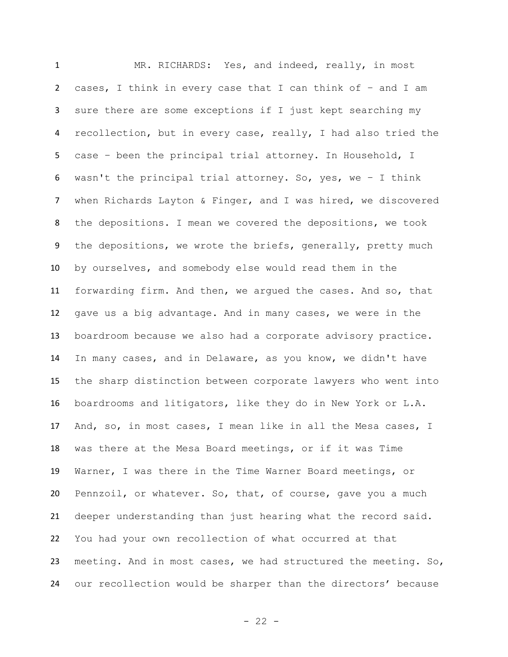MR. RICHARDS: Yes, and indeed, really, in most cases, I think in every case that I can think of – and I am sure there are some exceptions if I just kept searching my recollection, but in every case, really, I had also tried the case – been the principal trial attorney. In Household, I wasn't the principal trial attorney. So, yes, we – I think when Richards Layton & Finger, and I was hired, we discovered the depositions. I mean we covered the depositions, we took 9 the depositions, we wrote the briefs, generally, pretty much by ourselves, and somebody else would read them in the forwarding firm. And then, we argued the cases. And so, that gave us a big advantage. And in many cases, we were in the boardroom because we also had a corporate advisory practice. In many cases, and in Delaware, as you know, we didn't have the sharp distinction between corporate lawyers who went into boardrooms and litigators, like they do in New York or L.A. And, so, in most cases, I mean like in all the Mesa cases, I was there at the Mesa Board meetings, or if it was Time Warner, I was there in the Time Warner Board meetings, or Pennzoil, or whatever. So, that, of course, gave you a much deeper understanding than just hearing what the record said. You had your own recollection of what occurred at that meeting. And in most cases, we had structured the meeting. So, our recollection would be sharper than the directors' because

- 22 -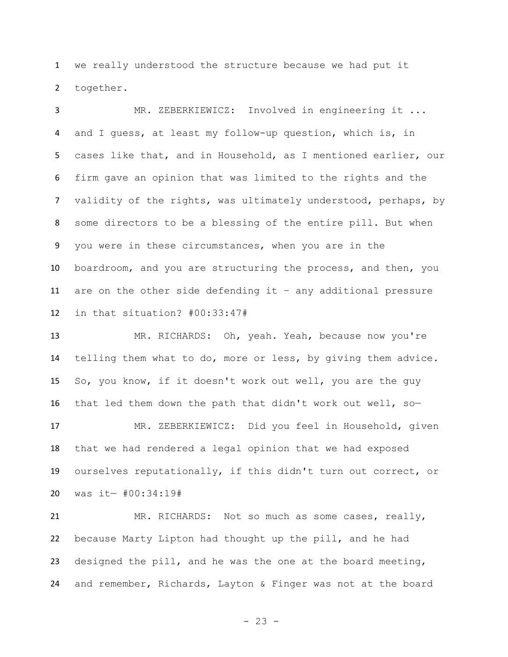we really understood the structure because we had put it together.

 MR. ZEBERKIEWICZ: Involved in engineering it ... and I guess, at least my follow-up question, which is, in cases like that, and in Household, as I mentioned earlier, our firm gave an opinion that was limited to the rights and the validity of the rights, was ultimately understood, perhaps, by some directors to be a blessing of the entire pill. But when you were in these circumstances, when you are in the boardroom, and you are structuring the process, and then, you are on the other side defending it – any additional pressure in that situation? #00:33:47#

 MR. RICHARDS: Oh, yeah. Yeah, because now you're telling them what to do, more or less, by giving them advice. So, you know, if it doesn't work out well, you are the guy that led them down the path that didn't work out well, so— MR. ZEBERKIEWICZ: Did you feel in Household, given that we had rendered a legal opinion that we had exposed ourselves reputationally, if this didn't turn out correct, or was it— #00:34:19#

 MR. RICHARDS: Not so much as some cases, really, because Marty Lipton had thought up the pill, and he had designed the pill, and he was the one at the board meeting, and remember, Richards, Layton & Finger was not at the board

- 23 -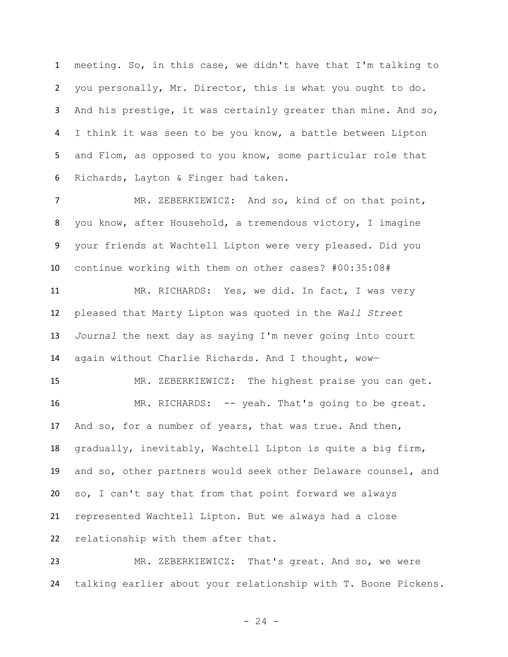meeting. So, in this case, we didn't have that I'm talking to you personally, Mr. Director, this is what you ought to do. And his prestige, it was certainly greater than mine. And so, I think it was seen to be you know, a battle between Lipton and Flom, as opposed to you know, some particular role that Richards, Layton & Finger had taken.

 MR. ZEBERKIEWICZ: And so, kind of on that point, you know, after Household, a tremendous victory, I imagine your friends at Wachtell Lipton were very pleased. Did you continue working with them on other cases? #00:35:08#

 MR. RICHARDS: Yes, we did. In fact, I was very pleased that Marty Lipton was quoted in the *Wall Street Journal* the next day as saying I'm never going into court again without Charlie Richards. And I thought, wow—

 MR. ZEBERKIEWICZ: The highest praise you can get. MR. RICHARDS: -- yeah. That's going to be great. And so, for a number of years, that was true. And then, gradually, inevitably, Wachtell Lipton is quite a big firm, and so, other partners would seek other Delaware counsel, and so, I can't say that from that point forward we always represented Wachtell Lipton. But we always had a close relationship with them after that.

 MR. ZEBERKIEWICZ: That's great. And so, we were talking earlier about your relationship with T. Boone Pickens.

 $- 24 -$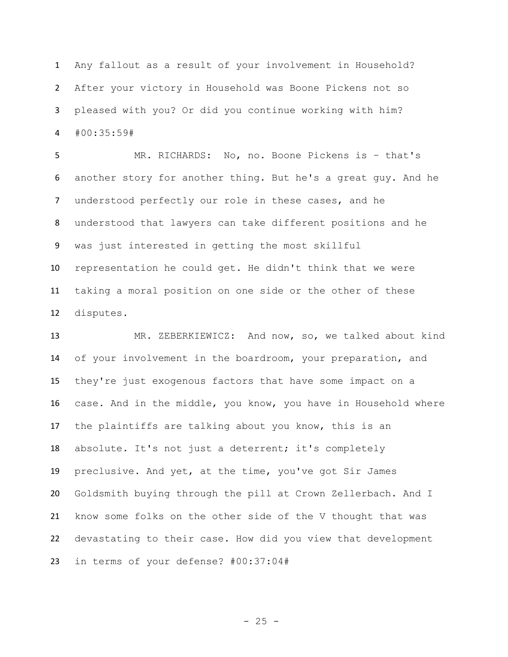Any fallout as a result of your involvement in Household? After your victory in Household was Boone Pickens not so pleased with you? Or did you continue working with him? #00:35:59#

 MR. RICHARDS: No, no. Boone Pickens is – that's another story for another thing. But he's a great guy. And he understood perfectly our role in these cases, and he understood that lawyers can take different positions and he was just interested in getting the most skillful representation he could get. He didn't think that we were taking a moral position on one side or the other of these disputes.

 MR. ZEBERKIEWICZ: And now, so, we talked about kind of your involvement in the boardroom, your preparation, and they're just exogenous factors that have some impact on a case. And in the middle, you know, you have in Household where the plaintiffs are talking about you know, this is an absolute. It's not just a deterrent; it's completely preclusive. And yet, at the time, you've got Sir James Goldsmith buying through the pill at Crown Zellerbach. And I know some folks on the other side of the V thought that was devastating to their case. How did you view that development in terms of your defense? #00:37:04#

 $- 25 -$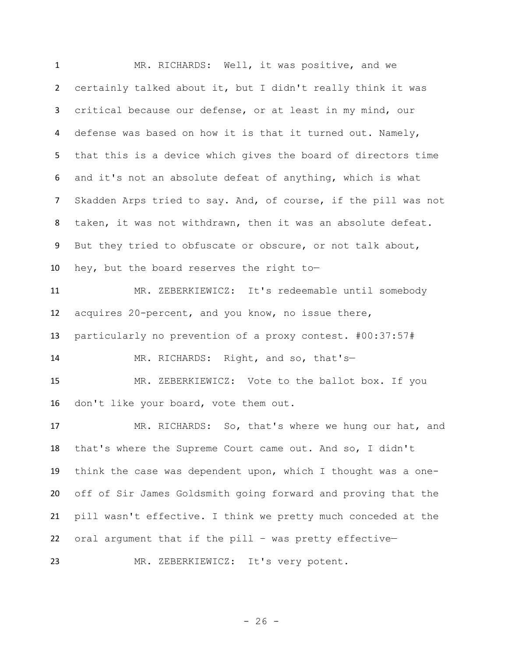MR. RICHARDS: Well, it was positive, and we certainly talked about it, but I didn't really think it was critical because our defense, or at least in my mind, our 4 defense was based on how it is that it turned out. Namely, that this is a device which gives the board of directors time and it's not an absolute defeat of anything, which is what Skadden Arps tried to say. And, of course, if the pill was not taken, it was not withdrawn, then it was an absolute defeat. But they tried to obfuscate or obscure, or not talk about, hey, but the board reserves the right to— MR. ZEBERKIEWICZ: It's redeemable until somebody acquires 20-percent, and you know, no issue there, particularly no prevention of a proxy contest. #00:37:57# MR. RICHARDS: Right, and so, that's— MR. ZEBERKIEWICZ: Vote to the ballot box. If you don't like your board, vote them out. MR. RICHARDS: So, that's where we hung our hat, and that's where the Supreme Court came out. And so, I didn't think the case was dependent upon, which I thought was a one- off of Sir James Goldsmith going forward and proving that the pill wasn't effective. I think we pretty much conceded at the oral argument that if the pill – was pretty effective— MR. ZEBERKIEWICZ: It's very potent.

 $- 26 -$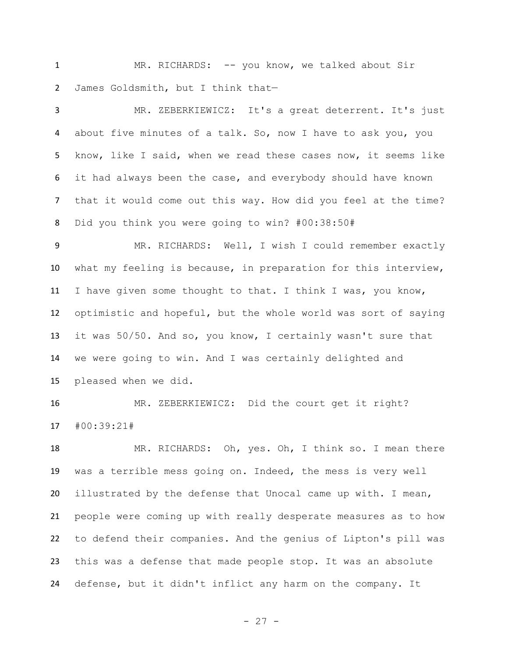MR. RICHARDS: -- you know, we talked about Sir James Goldsmith, but I think that—

 MR. ZEBERKIEWICZ: It's a great deterrent. It's just about five minutes of a talk. So, now I have to ask you, you know, like I said, when we read these cases now, it seems like it had always been the case, and everybody should have known that it would come out this way. How did you feel at the time? Did you think you were going to win? #00:38:50#

9 MR. RICHARDS: Well, I wish I could remember exactly what my feeling is because, in preparation for this interview, I have given some thought to that. I think I was, you know, optimistic and hopeful, but the whole world was sort of saying it was 50/50. And so, you know, I certainly wasn't sure that we were going to win. And I was certainly delighted and pleased when we did.

 MR. ZEBERKIEWICZ: Did the court get it right? #00:39:21#

18 MR. RICHARDS: Oh, yes. Oh, I think so. I mean there was a terrible mess going on. Indeed, the mess is very well illustrated by the defense that Unocal came up with. I mean, people were coming up with really desperate measures as to how to defend their companies. And the genius of Lipton's pill was this was a defense that made people stop. It was an absolute defense, but it didn't inflict any harm on the company. It

```
- 27 -
```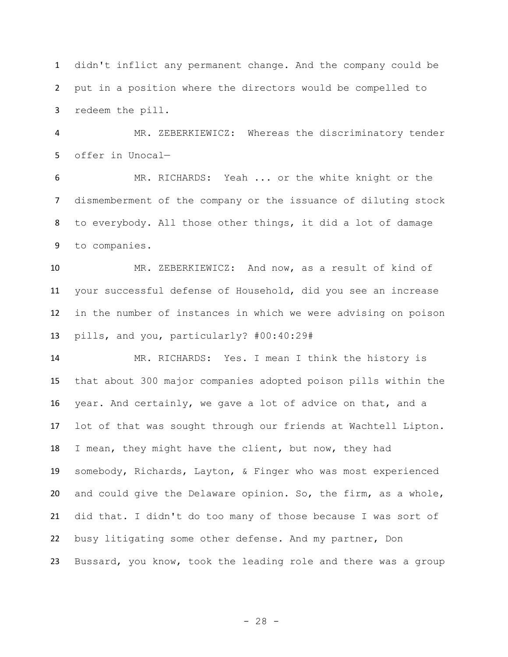didn't inflict any permanent change. And the company could be put in a position where the directors would be compelled to redeem the pill.

 MR. ZEBERKIEWICZ: Whereas the discriminatory tender offer in Unocal—

 MR. RICHARDS: Yeah ... or the white knight or the dismemberment of the company or the issuance of diluting stock to everybody. All those other things, it did a lot of damage to companies.

 MR. ZEBERKIEWICZ: And now, as a result of kind of your successful defense of Household, did you see an increase in the number of instances in which we were advising on poison pills, and you, particularly? #00:40:29#

 MR. RICHARDS: Yes. I mean I think the history is that about 300 major companies adopted poison pills within the year. And certainly, we gave a lot of advice on that, and a lot of that was sought through our friends at Wachtell Lipton. I mean, they might have the client, but now, they had somebody, Richards, Layton, & Finger who was most experienced and could give the Delaware opinion. So, the firm, as a whole, did that. I didn't do too many of those because I was sort of busy litigating some other defense. And my partner, Don Bussard, you know, took the leading role and there was a group

 $- 28 -$